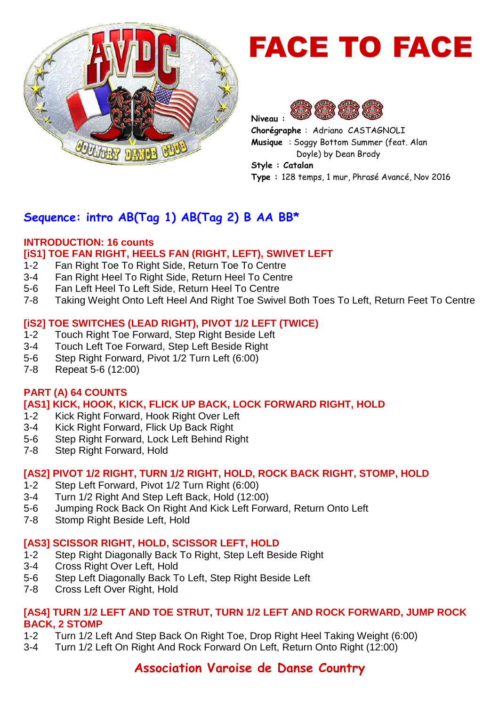

# FACE TO FACE



**Chorégraphe** : Adriano CASTAGNOLI **Musique** : Soggy Bottom Summer (feat. Alan Doyle) by Dean Brody

**Style : Catalan Type :** 128 temps, 1 mur, Phrasé Avancé, Nov 2016

# **Sequence: intro AB(Tag 1) AB(Tag 2) B AA BB\***

#### **INTRODUCTION: 16 counts [iS1] TOE FAN RIGHT, HEELS FAN (RIGHT, LEFT), SWIVET LEFT**

- 1-2 Fan Right Toe To Right Side, Return Toe To Centre
- 3-4 Fan Right Heel To Right Side, Return Heel To Centre
- 5-6 Fan Left Heel To Left Side, Return Heel To Centre
- 7-8 Taking Weight Onto Left Heel And Right Toe Swivel Both Toes To Left, Return Feet To Centre

#### **[iS2] TOE SWITCHES (LEAD RIGHT), PIVOT 1/2 LEFT (TWICE)**

- 1-2 Touch Right Toe Forward, Step Right Beside Left
- 3-4 Touch Left Toe Forward, Step Left Beside Right
- 5-6 Step Right Forward, Pivot 1/2 Turn Left (6:00)
- 7-8 Repeat 5-6 (12:00)

#### **PART (A) 64 COUNTS**

#### **[AS1] KICK, HOOK, KICK, FLICK UP BACK, LOCK FORWARD RIGHT, HOLD**

- 1-2 Kick Right Forward, Hook Right Over Left
- 3-4 Kick Right Forward, Flick Up Back Right
- 5-6 Step Right Forward, Lock Left Behind Right
- 7-8 Step Right Forward, Hold

#### **[AS2] PIVOT 1/2 RIGHT, TURN 1/2 RIGHT, HOLD, ROCK BACK RIGHT, STOMP, HOLD**

- 1-2 Step Left Forward, Pivot 1/2 Turn Right (6:00)
- 3-4 Turn 1/2 Right And Step Left Back, Hold (12:00)
- 5-6 Jumping Rock Back On Right And Kick Left Forward, Return Onto Left
- 7-8 Stomp Right Beside Left, Hold

#### **[AS3] SCISSOR RIGHT, HOLD, SCISSOR LEFT, HOLD**

- 1-2 Step Right Diagonally Back To Right, Step Left Beside Right
- 3-4 Cross Right Over Left, Hold
- 5-6 Step Left Diagonally Back To Left, Step Right Beside Left
- 7-8 Cross Left Over Right, Hold

#### **[AS4] TURN 1/2 LEFT AND TOE STRUT, TURN 1/2 LEFT AND ROCK FORWARD, JUMP ROCK BACK, 2 STOMP**

- 1-2 Turn 1/2 Left And Step Back On Right Toe, Drop Right Heel Taking Weight (6:00)
- 3-4 Turn 1/2 Left On Right And Rock Forward On Left, Return Onto Right (12:00)

# **Association Varoise de Danse Country**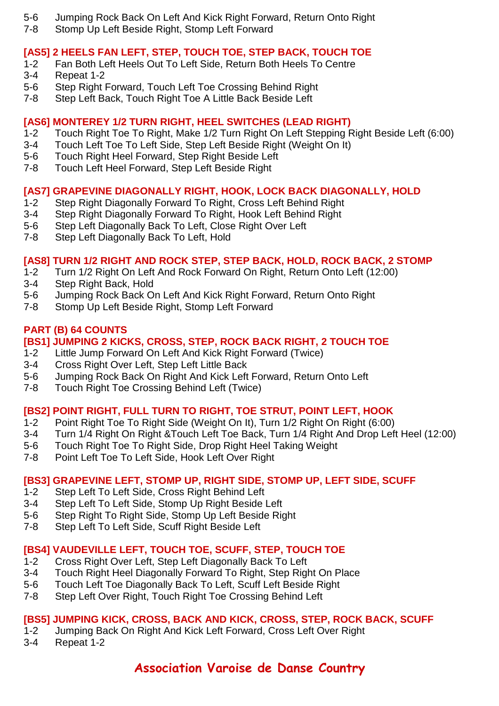- 5-6 Jumping Rock Back On Left And Kick Right Forward, Return Onto Right
- 7-8 Stomp Up Left Beside Right, Stomp Left Forward

#### **[AS5] 2 HEELS FAN LEFT, STEP, TOUCH TOE, STEP BACK, TOUCH TOE**

- 1-2 Fan Both Left Heels Out To Left Side, Return Both Heels To Centre
- 3-4 Repeat 1-2
- 5-6 Step Right Forward, Touch Left Toe Crossing Behind Right<br>7-8 Step Left Back, Touch Right Toe A Little Back Beside Left
- Step Left Back, Touch Right Toe A Little Back Beside Left

# **[AS6] MONTEREY 1/2 TURN RIGHT, HEEL SWITCHES (LEAD RIGHT)**

- 1-2 Touch Right Toe To Right, Make 1/2 Turn Right On Left Stepping Right Beside Left (6:00)
- 3-4 Touch Left Toe To Left Side, Step Left Beside Right (Weight On It)
- 5-6 Touch Right Heel Forward, Step Right Beside Left
- 7-8 Touch Left Heel Forward, Step Left Beside Right

# **[AS7] GRAPEVINE DIAGONALLY RIGHT, HOOK, LOCK BACK DIAGONALLY, HOLD**

- 1-2 Step Right Diagonally Forward To Right, Cross Left Behind Right
- 3-4 Step Right Diagonally Forward To Right, Hook Left Behind Right
- 5-6 Step Left Diagonally Back To Left, Close Right Over Left
- 7-8 Step Left Diagonally Back To Left, Hold

#### **[AS8] TURN 1/2 RIGHT AND ROCK STEP, STEP BACK, HOLD, ROCK BACK, 2 STOMP**

- 1-2 Turn 1/2 Right On Left And Rock Forward On Right, Return Onto Left (12:00)
- 3-4 Step Right Back, Hold
- 5-6 Jumping Rock Back On Left And Kick Right Forward, Return Onto Right
- 7-8 Stomp Up Left Beside Right, Stomp Left Forward

#### **PART (B) 64 COUNTS**

#### **[BS1] JUMPING 2 KICKS, CROSS, STEP, ROCK BACK RIGHT, 2 TOUCH TOE**

- 1-2 Little Jump Forward On Left And Kick Right Forward (Twice)
- 3-4 Cross Right Over Left, Step Left Little Back
- 5-6 Jumping Rock Back On Right And Kick Left Forward, Return Onto Left
- 7-8 Touch Right Toe Crossing Behind Left (Twice)

# **[BS2] POINT RIGHT, FULL TURN TO RIGHT, TOE STRUT, POINT LEFT, HOOK**

- 1-2 Point Right Toe To Right Side (Weight On It), Turn 1/2 Right On Right (6:00)
- 3-4 Turn 1/4 Right On Right &Touch Left Toe Back, Turn 1/4 Right And Drop Left Heel (12:00)
- 5-6 Touch Right Toe To Right Side, Drop Right Heel Taking Weight
- 7-8 Point Left Toe To Left Side, Hook Left Over Right

# **[BS3] GRAPEVINE LEFT, STOMP UP, RIGHT SIDE, STOMP UP, LEFT SIDE, SCUFF**

- 1-2 Step Left To Left Side, Cross Right Behind Left
- 3-4 Step Left To Left Side, Stomp Up Right Beside Left
- 5-6 Step Right To Right Side, Stomp Up Left Beside Right
- 7-8 Step Left To Left Side, Scuff Right Beside Left

# **[BS4] VAUDEVILLE LEFT, TOUCH TOE, SCUFF, STEP, TOUCH TOE**

- 1-2 Cross Right Over Left, Step Left Diagonally Back To Left
- 3-4 Touch Right Heel Diagonally Forward To Right, Step Right On Place
- 5-6 Touch Left Toe Diagonally Back To Left, Scuff Left Beside Right
- 7-8 Step Left Over Right, Touch Right Toe Crossing Behind Left

# **[BS5] JUMPING KICK, CROSS, BACK AND KICK, CROSS, STEP, ROCK BACK, SCUFF**

- 1-2 Jumping Back On Right And Kick Left Forward, Cross Left Over Right
- 3-4 Repeat 1-2

# **Association Varoise de Danse Country**